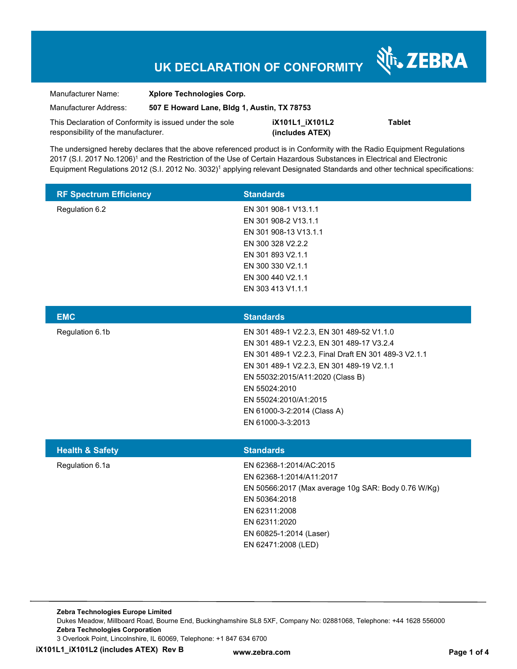# **UK DECLARATION OF CONFORMITY**

Nr. ZEBRA

| Manufacturer Name:                                                                             | <b>Xplore Technologies Corp.</b>            |                                    |               |
|------------------------------------------------------------------------------------------------|---------------------------------------------|------------------------------------|---------------|
| Manufacturer Address:                                                                          | 507 E Howard Lane, Bldg 1, Austin, TX 78753 |                                    |               |
| This Declaration of Conformity is issued under the sole<br>responsibility of the manufacturer. |                                             | iX101L1 iX101L2<br>(includes ATEX) | <b>Tablet</b> |

The undersigned hereby declares that the above referenced product is in Conformity with the Radio Equipment Regulations 2017 (S.I. 2017 No.1206)<sup>1</sup> and the Restriction of the Use of Certain Hazardous Substances in Electrical and Electronic Equipment Regulations 2012 (S.I. 2012 No. 3032)<sup>1</sup> applying relevant Designated Standards and other technical specifications:

| <b>RF Spectrum Efficiency</b> | <b>Standards</b>      |
|-------------------------------|-----------------------|
| Regulation 6.2                | EN 301 908-1 V13.1.1  |
|                               | EN 301 908-2 V13.1.1  |
|                               | EN 301 908-13 V13.1.1 |
|                               | EN 300 328 V2.2.2     |
|                               | EN 301 893 V2.1.1     |
|                               | EN 300 330 V2.1.1     |
|                               | EN 300 440 V2.1.1     |
|                               | EN 303 413 V1.1.1     |

| <b>EMC</b>      | <b>Standards</b>                                     |
|-----------------|------------------------------------------------------|
| Regulation 6.1b | EN 301 489-1 V2.2.3, EN 301 489-52 V1.1.0            |
|                 | EN 301 489-1 V2.2.3, EN 301 489-17 V3.2.4            |
|                 | EN 301 489-1 V2.2.3, Final Draft EN 301 489-3 V2.1.1 |
|                 | EN 301 489-1 V2.2.3, EN 301 489-19 V2.1.1            |
|                 | EN 55032:2015/A11:2020 (Class B)                     |
|                 | EN 55024:2010                                        |
|                 | EN 55024:2010/A1:2015                                |
|                 | EN 61000-3-2:2014 (Class A)                          |
|                 | EN 61000-3-3:2013                                    |
|                 |                                                      |

| <b>Health &amp; Safety</b> | <b>Standards</b>                                    |
|----------------------------|-----------------------------------------------------|
| Regulation 6.1a            | EN 62368-1:2014/AC:2015                             |
|                            | EN 62368-1:2014/A11:2017                            |
|                            | EN 50566:2017 (Max average 10g SAR: Body 0.76 W/Kg) |
|                            | EN 50364:2018                                       |
|                            | EN 62311:2008                                       |
|                            | EN 62311:2020                                       |
|                            | EN 60825-1:2014 (Laser)                             |
|                            | EN 62471:2008 (LED)                                 |
|                            |                                                     |

**Zebra Technologies Europe Limited**  Dukes Meadow, Millboard Road, Bourne End, Buckinghamshire SL8 5XF, Company No: 02881068, Telephone: +44 1628 556000 **Zebra Technologies Corporation**  3 Overlook Point, Lincolnshire, IL 60069, Telephone: +1 847 634 6700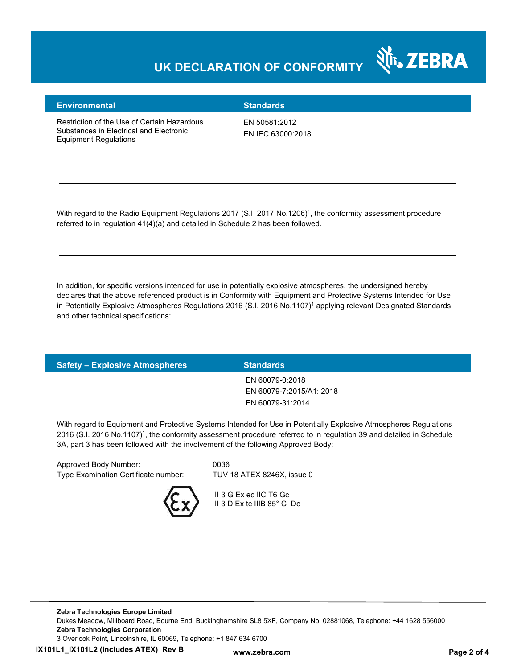### **UK DECLARATION OF CONFORMITY**



#### **Environmental Standards**

Restriction of the Use of Certain Hazardous Substances in Electrical and Electronic Equipment Regulations

EN 50581:2012 EN IEC 63000:2018

With regard to the Radio Equipment Regulations 2017 (S.I. 2017 No.1206)<sup>1</sup>, the conformity assessment procedure referred to in regulation 41(4)(a) and detailed in Schedule 2 has been followed.

In addition, for specific versions intended for use in potentially explosive atmospheres, the undersigned hereby declares that the above referenced product is in Conformity with Equipment and Protective Systems Intended for Use in Potentially Explosive Atmospheres Regulations 2016 (S.I. 2016 No.1107)<sup>1</sup> applying relevant Designated Standards and other technical specifications:

| <b>Safety - Explosive Atmospheres</b> | <b>Standards</b>         |
|---------------------------------------|--------------------------|
|                                       | EN 60079-0:2018          |
|                                       | EN 60079-7:2015/A1: 2018 |
|                                       | EN 60079-31:2014         |
|                                       |                          |

With regard to Equipment and Protective Systems Intended for Use in Potentially Explosive Atmospheres Regulations 2016 (S.I. 2016 No.1107)<sup>1</sup>, the conformity assessment procedure referred to in regulation 39 and detailed in Schedule 3A, part 3 has been followed with the involvement of the following Approved Body:

| Approved Body Number:                | 0036                       |
|--------------------------------------|----------------------------|
| Type Examination Certificate number: | TUV 18 ATEX 8246X, issue 0 |
|                                      |                            |



 II 3 G Ex ec IIC T6 Gc II 3 D Ex tc IIIB 85° C Dc

**Zebra Technologies Europe Limited**  Dukes Meadow, Millboard Road, Bourne End, Buckinghamshire SL8 5XF, Company No: 02881068, Telephone: +44 1628 556000 **Zebra Technologies Corporation**  3 Overlook Point, Lincolnshire, IL 60069, Telephone: +1 847 634 6700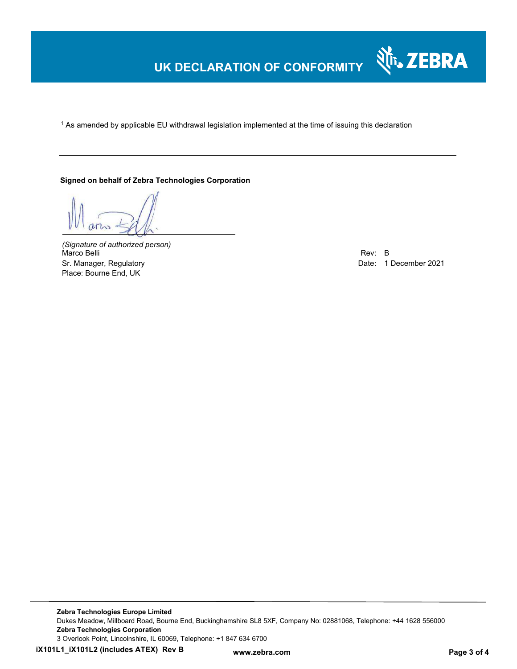## **UK DECLARATION OF CONFORMITY**

 $^{\rm 1}$  As amended by applicable EU withdrawal legislation implemented at the time of issuing this declaration

**Signed on behalf of Zebra Technologies Corporation** 

*(Signature of authorized person)* Marco Belli Rev: B Sr. Manager, Regulatory **Date: 1 December 2021** Place: Bourne End, UK

श्री<sub>1</sub>, ZEBRA

**Zebra Technologies Europe Limited**  Dukes Meadow, Millboard Road, Bourne End, Buckinghamshire SL8 5XF, Company No: 02881068, Telephone: +44 1628 556000 **Zebra Technologies Corporation**  3 Overlook Point, Lincolnshire, IL 60069, Telephone: +1 847 634 6700